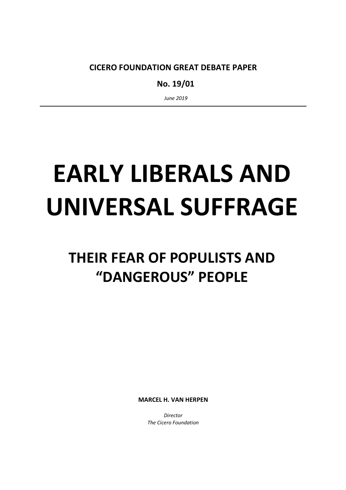CICERO FOUNDATION GREAT DEBATE PAPER

No. 19/01

June 2019

# EARLY LIBERALS AND UNIVERSAL SUFFRAGE

# THEIR FEAR OF POPULISTS AND "DANGEROUS" PEOPLE

MARCEL H. VAN HERPEN

**Director** The Cicero Foundation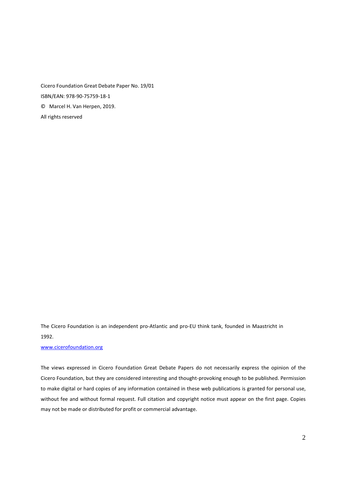Cicero Foundation Great Debate Paper No. 19/01 ISBN/EAN: 978-90-75759-18-1 © Marcel H. Van Herpen, 2019. All rights reserved

The Cicero Foundation is an independent pro-Atlantic and pro-EU think tank, founded in Maastricht in 1992.

#### www.cicerofoundation.org

The views expressed in Cicero Foundation Great Debate Papers do not necessarily express the opinion of the Cicero Foundation, but they are considered interesting and thought-provoking enough to be published. Permission to make digital or hard copies of any information contained in these web publications is granted for personal use, without fee and without formal request. Full citation and copyright notice must appear on the first page. Copies may not be made or distributed for profit or commercial advantage.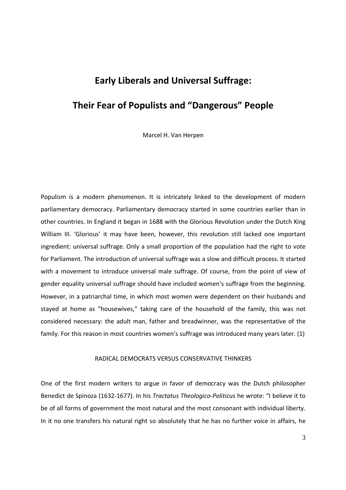# Early Liberals and Universal Suffrage:

# Their Fear of Populists and "Dangerous" People

Marcel H. Van Herpen

Populism is a modern phenomenon. It is intricately linked to the development of modern parliamentary democracy. Parliamentary democracy started in some countries earlier than in other countries. In England it began in 1688 with the Glorious Revolution under the Dutch King William III. 'Glorious' it may have been, however, this revolution still lacked one important ingredient: universal suffrage. Only a small proportion of the population had the right to vote for Parliament. The introduction of universal suffrage was a slow and difficult process. It started with a movement to introduce universal male suffrage. Of course, from the point of view of gender equality universal suffrage should have included women's suffrage from the beginning. However, in a patriarchal time, in which most women were dependent on their husbands and stayed at home as "housewives," taking care of the household of the family, this was not considered necessary: the adult man, father and breadwinner, was the representative of the family. For this reason in most countries women's suffrage was introduced many years later. (1)

#### RADICAL DEMOCRATS VERSUS CONSERVATIVE THINKERS

One of the first modern writers to argue in favor of democracy was the Dutch philosopher Benedict de Spinoza (1632-1677). In his Tractatus Theologico-Politicus he wrote: "I believe it to be of all forms of government the most natural and the most consonant with individual liberty. In it no one transfers his natural right so absolutely that he has no further voice in affairs, he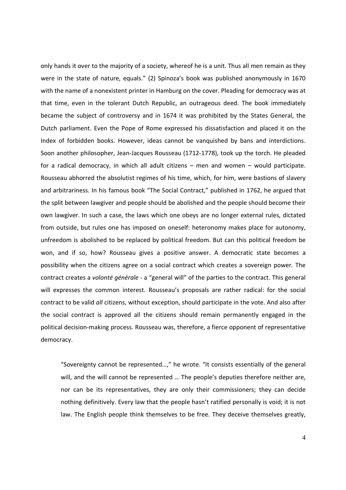only hands it over to the majority of a society, whereof he is a unit. Thus all men remain as they were in the state of nature, equals." (2) Spinoza's book was published anonymously in 1670 with the name of a nonexistent printer in Hamburg on the cover. Pleading for democracy was at that time, even in the tolerant Dutch Republic, an outrageous deed. The book immediately became the subject of controversy and in 1674 it was prohibited by the States General, the Dutch parliament. Even the Pope of Rome expressed his dissatisfaction and placed it on the Index of forbidden books. However, ideas cannot be vanquished by bans and interdictions. Soon another philosopher, Jean-Jacques Rousseau (1712-1778), took up the torch. He pleaded for a radical democracy, in which all adult citizens – men and women – would participate. Rousseau abhorred the absolutist regimes of his time, which, for him, were bastions of slavery and arbitrariness. In his famous book "The Social Contract," published in 1762, he argued that the split between lawgiver and people should be abolished and the people should become their own lawgiver. In such a case, the laws which one obeys are no longer external rules, dictated from outside, but rules one has imposed on oneself: heteronomy makes place for autonomy, unfreedom is abolished to be replaced by political freedom. But can this political freedom be won, and if so, how? Rousseau gives a positive answer. A democratic state becomes a possibility when the citizens agree on a social contract which creates a sovereign power. The contract creates a volonté générale - a "general will" of the parties to the contract. This general will expresses the common interest. Rousseau's proposals are rather radical: for the social contract to be valid all citizens, without exception, should participate in the vote. And also after the social contract is approved all the citizens should remain permanently engaged in the political decision-making process. Rousseau was, therefore, a fierce opponent of representative democracy.

"Sovereignty cannot be represented…," he wrote. "It consists essentially of the general will, and the will cannot be represented … The people's deputies therefore neither are, nor can be its representatives, they are only their commissioners; they can decide nothing definitively. Every law that the people hasn't ratified personally is void; it is not law. The English people think themselves to be free. They deceive themselves greatly,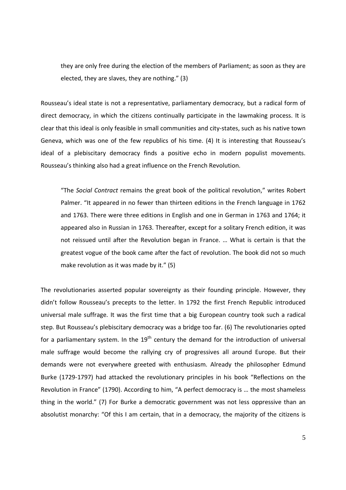they are only free during the election of the members of Parliament; as soon as they are elected, they are slaves, they are nothing." (3)

Rousseau's ideal state is not a representative, parliamentary democracy, but a radical form of direct democracy, in which the citizens continually participate in the lawmaking process. It is clear that this ideal is only feasible in small communities and city-states, such as his native town Geneva, which was one of the few republics of his time. (4) It is interesting that Rousseau's ideal of a plebiscitary democracy finds a positive echo in modern populist movements. Rousseau's thinking also had a great influence on the French Revolution.

"The Social Contract remains the great book of the political revolution," writes Robert Palmer. "It appeared in no fewer than thirteen editions in the French language in 1762 and 1763. There were three editions in English and one in German in 1763 and 1764; it appeared also in Russian in 1763. Thereafter, except for a solitary French edition, it was not reissued until after the Revolution began in France. … What is certain is that the greatest vogue of the book came after the fact of revolution. The book did not so much make revolution as it was made by it." (5)

The revolutionaries asserted popular sovereignty as their founding principle. However, they didn't follow Rousseau's precepts to the letter. In 1792 the first French Republic introduced universal male suffrage. It was the first time that a big European country took such a radical step. But Rousseau's plebiscitary democracy was a bridge too far. (6) The revolutionaries opted for a parliamentary system. In the  $19<sup>th</sup>$  century the demand for the introduction of universal male suffrage would become the rallying cry of progressives all around Europe. But their demands were not everywhere greeted with enthusiasm. Already the philosopher Edmund Burke (1729-1797) had attacked the revolutionary principles in his book "Reflections on the Revolution in France" (1790). According to him, "A perfect democracy is … the most shameless thing in the world." (7) For Burke a democratic government was not less oppressive than an absolutist monarchy: "Of this I am certain, that in a democracy, the majority of the citizens is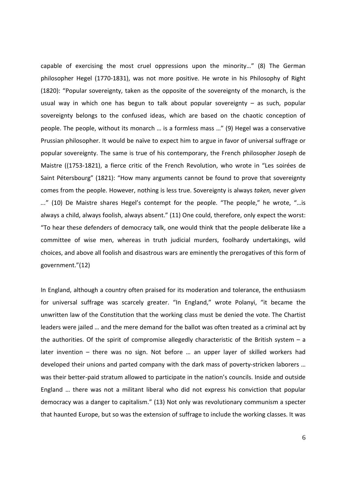capable of exercising the most cruel oppressions upon the minority…" (8) The German philosopher Hegel (1770-1831), was not more positive. He wrote in his Philosophy of Right (1820): "Popular sovereignty, taken as the opposite of the sovereignty of the monarch, is the usual way in which one has begun to talk about popular sovereignty – as such, popular sovereignty belongs to the confused ideas, which are based on the chaotic conception of people. The people, without its monarch … is a formless mass …" (9) Hegel was a conservative Prussian philosopher. It would be naïve to expect him to argue in favor of universal suffrage or popular sovereignty. The same is true of his contemporary, the French philosopher Joseph de Maistre ((1753-1821), a fierce critic of the French Revolution, who wrote in "Les soirées de Saint Pétersbourg" (1821): "How many arguments cannot be found to prove that sovereignty comes from the people. However, nothing is less true. Sovereignty is always taken, never given ..." (10) De Maistre shares Hegel's contempt for the people. "The people," he wrote, "…is always a child, always foolish, always absent." (11) One could, therefore, only expect the worst: "To hear these defenders of democracy talk, one would think that the people deliberate like a committee of wise men, whereas in truth judicial murders, foolhardy undertakings, wild choices, and above all foolish and disastrous wars are eminently the prerogatives of this form of government."(12)

In England, although a country often praised for its moderation and tolerance, the enthusiasm for universal suffrage was scarcely greater. "In England," wrote Polanyi, "it became the unwritten law of the Constitution that the working class must be denied the vote. The Chartist leaders were jailed … and the mere demand for the ballot was often treated as a criminal act by the authorities. Of the spirit of compromise allegedly characteristic of the British system  $-$  a later invention – there was no sign. Not before … an upper layer of skilled workers had developed their unions and parted company with the dark mass of poverty-stricken laborers … was their better-paid stratum allowed to participate in the nation's councils. Inside and outside England … there was not a militant liberal who did not express his conviction that popular democracy was a danger to capitalism." (13) Not only was revolutionary communism a specter that haunted Europe, but so was the extension of suffrage to include the working classes. It was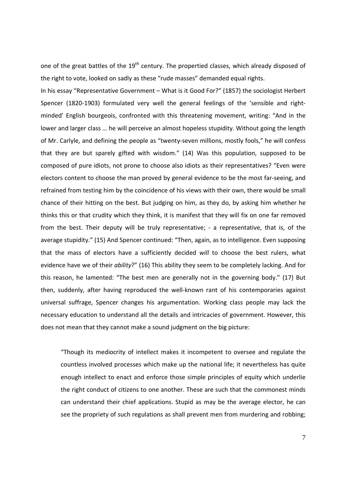one of the great battles of the  $19<sup>th</sup>$  century. The propertied classes, which already disposed of the right to vote, looked on sadly as these "rude masses" demanded equal rights.

In his essay "Representative Government – What is it Good For?" (1857) the sociologist Herbert Spencer (1820-1903) formulated very well the general feelings of the 'sensible and rightminded' English bourgeois, confronted with this threatening movement, writing: "And in the lower and larger class … he will perceive an almost hopeless stupidity. Without going the length of Mr. Carlyle, and defining the people as "twenty-seven millions, mostly fools," he will confess that they are but sparely gifted with wisdom." (14) Was this population, supposed to be composed of pure idiots, not prone to choose also idiots as their representatives? "Even were electors content to choose the man proved by general evidence to be the most far-seeing, and refrained from testing him by the coincidence of his views with their own, there would be small chance of their hitting on the best. But judging on him, as they do, by asking him whether he thinks this or that crudity which they think, it is manifest that they will fix on one far removed from the best. Their deputy will be truly representative; - a representative, that is, of the average stupidity." (15) And Spencer continued: "Then, again, as to intelligence. Even supposing that the mass of electors have a sufficiently decided will to choose the best rulers, what evidence have we of their ability?" (16) This ability they seem to be completely lacking. And for this reason, he lamented: "The best men are generally not in the governing body." (17) But then, suddenly, after having reproduced the well-known rant of his contemporaries against universal suffrage, Spencer changes his argumentation. Working class people may lack the necessary education to understand all the details and intricacies of government. However, this does not mean that they cannot make a sound judgment on the big picture:

"Though its mediocrity of intellect makes it incompetent to oversee and regulate the countless involved processes which make up the national life; it nevertheless has quite enough intellect to enact and enforce those simple principles of equity which underlie the right conduct of citizens to one another. These are such that the commonest minds can understand their chief applications. Stupid as may be the average elector, he can see the propriety of such regulations as shall prevent men from murdering and robbing;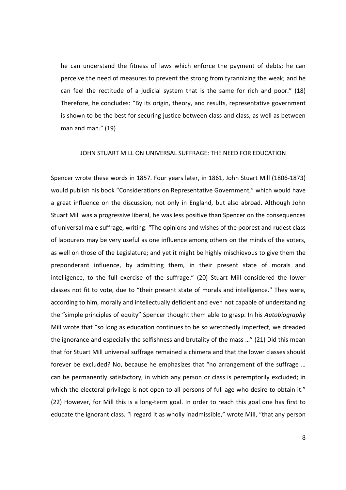he can understand the fitness of laws which enforce the payment of debts; he can perceive the need of measures to prevent the strong from tyrannizing the weak; and he can feel the rectitude of a judicial system that is the same for rich and poor." (18) Therefore, he concludes: "By its origin, theory, and results, representative government is shown to be the best for securing justice between class and class, as well as between man and man." (19)

#### JOHN STUART MILL ON UNIVERSAL SUFFRAGE: THE NEED FOR EDUCATION

Spencer wrote these words in 1857. Four years later, in 1861, John Stuart Mill (1806-1873) would publish his book "Considerations on Representative Government," which would have a great influence on the discussion, not only in England, but also abroad. Although John Stuart Mill was a progressive liberal, he was less positive than Spencer on the consequences of universal male suffrage, writing: "The opinions and wishes of the poorest and rudest class of labourers may be very useful as one influence among others on the minds of the voters, as well on those of the Legislature; and yet it might be highly mischievous to give them the preponderant influence, by admitting them, in their present state of morals and intelligence, to the full exercise of the suffrage." (20) Stuart Mill considered the lower classes not fit to vote, due to "their present state of morals and intelligence." They were, according to him, morally and intellectually deficient and even not capable of understanding the "simple principles of equity" Spencer thought them able to grasp. In his Autobiography Mill wrote that "so long as education continues to be so wretchedly imperfect, we dreaded the ignorance and especially the selfishness and brutality of the mass …" (21) Did this mean that for Stuart Mill universal suffrage remained a chimera and that the lower classes should forever be excluded? No, because he emphasizes that "no arrangement of the suffrage … can be permanently satisfactory, in which any person or class is peremptorily excluded; in which the electoral privilege is not open to all persons of full age who desire to obtain it." (22) However, for Mill this is a long-term goal. In order to reach this goal one has first to educate the ignorant class. "I regard it as wholly inadmissible," wrote Mill, "that any person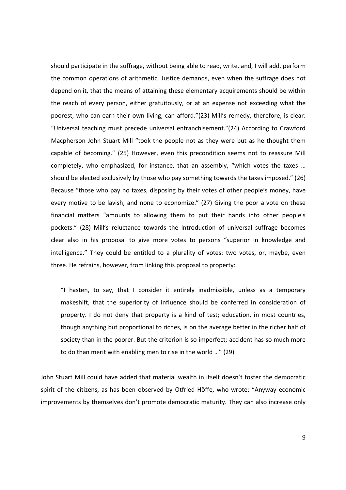should participate in the suffrage, without being able to read, write, and, I will add, perform the common operations of arithmetic. Justice demands, even when the suffrage does not depend on it, that the means of attaining these elementary acquirements should be within the reach of every person, either gratuitously, or at an expense not exceeding what the poorest, who can earn their own living, can afford."(23) Mill's remedy, therefore, is clear: "Universal teaching must precede universal enfranchisement."(24) According to Crawford Macpherson John Stuart Mill "took the people not as they were but as he thought them capable of becoming." (25) However, even this precondition seems not to reassure Mill completely, who emphasized, for instance, that an assembly, "which votes the taxes … should be elected exclusively by those who pay something towards the taxes imposed." (26) Because "those who pay no taxes, disposing by their votes of other people's money, have every motive to be lavish, and none to economize." (27) Giving the poor a vote on these financial matters "amounts to allowing them to put their hands into other people's pockets." (28) Mill's reluctance towards the introduction of universal suffrage becomes clear also in his proposal to give more votes to persons "superior in knowledge and intelligence." They could be entitled to a plurality of votes: two votes, or, maybe, even three. He refrains, however, from linking this proposal to property:

"I hasten, to say, that I consider it entirely inadmissible, unless as a temporary makeshift, that the superiority of influence should be conferred in consideration of property. I do not deny that property is a kind of test; education, in most countries, though anything but proportional to riches, is on the average better in the richer half of society than in the poorer. But the criterion is so imperfect; accident has so much more to do than merit with enabling men to rise in the world …" (29)

John Stuart Mill could have added that material wealth in itself doesn't foster the democratic spirit of the citizens, as has been observed by Otfried Höffe, who wrote: "Anyway economic improvements by themselves don't promote democratic maturity. They can also increase only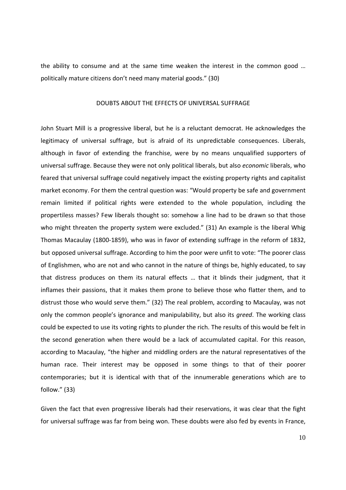the ability to consume and at the same time weaken the interest in the common good … politically mature citizens don't need many material goods." (30)

#### DOUBTS ABOUT THE EFFECTS OF UNIVERSAL SUFFRAGE

John Stuart Mill is a progressive liberal, but he is a reluctant democrat. He acknowledges the legitimacy of universal suffrage, but is afraid of its unpredictable consequences. Liberals, although in favor of extending the franchise, were by no means unqualified supporters of universal suffrage. Because they were not only political liberals, but also economic liberals, who feared that universal suffrage could negatively impact the existing property rights and capitalist market economy. For them the central question was: "Would property be safe and government remain limited if political rights were extended to the whole population, including the propertiless masses? Few liberals thought so: somehow a line had to be drawn so that those who might threaten the property system were excluded." (31) An example is the liberal Whig Thomas Macaulay (1800-1859), who was in favor of extending suffrage in the reform of 1832, but opposed universal suffrage. According to him the poor were unfit to vote: "The poorer class of Englishmen, who are not and who cannot in the nature of things be, highly educated, to say that distress produces on them its natural effects … that it blinds their judgment, that it inflames their passions, that it makes them prone to believe those who flatter them, and to distrust those who would serve them." (32) The real problem, according to Macaulay, was not only the common people's ignorance and manipulability, but also its greed. The working class could be expected to use its voting rights to plunder the rich. The results of this would be felt in the second generation when there would be a lack of accumulated capital. For this reason, according to Macaulay, "the higher and middling orders are the natural representatives of the human race. Their interest may be opposed in some things to that of their poorer contemporaries; but it is identical with that of the innumerable generations which are to follow." (33)

Given the fact that even progressive liberals had their reservations, it was clear that the fight for universal suffrage was far from being won. These doubts were also fed by events in France,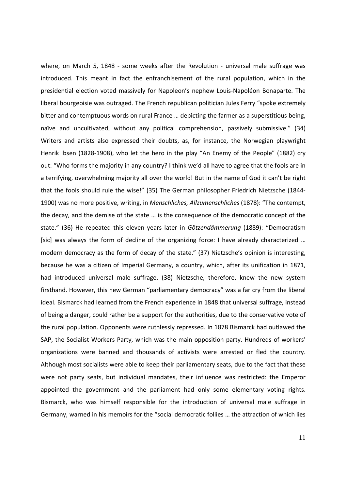where, on March 5, 1848 - some weeks after the Revolution - universal male suffrage was introduced. This meant in fact the enfranchisement of the rural population, which in the presidential election voted massively for Napoleon's nephew Louis-Napoléon Bonaparte. The liberal bourgeoisie was outraged. The French republican politician Jules Ferry "spoke extremely bitter and contemptuous words on rural France … depicting the farmer as a superstitious being, naïve and uncultivated, without any political comprehension, passively submissive." (34) Writers and artists also expressed their doubts, as, for instance, the Norwegian playwright Henrik Ibsen (1828-1908), who let the hero in the play "An Enemy of the People" (1882) cry out: "Who forms the majority in any country? I think we'd all have to agree that the fools are in a terrifying, overwhelming majority all over the world! But in the name of God it can't be right that the fools should rule the wise!" (35) The German philosopher Friedrich Nietzsche (1844- 1900) was no more positive, writing, in Menschliches, Allzumenschliches (1878): "The contempt, the decay, and the demise of the state … is the consequence of the democratic concept of the state." (36) He repeated this eleven years later in Götzendämmerung (1889): "Democratism [sic] was always the form of decline of the organizing force: I have already characterized … modern democracy as the form of decay of the state." (37) Nietzsche's opinion is interesting, because he was a citizen of Imperial Germany, a country, which, after its unification in 1871, had introduced universal male suffrage. (38) Nietzsche, therefore, knew the new system firsthand. However, this new German "parliamentary democracy" was a far cry from the liberal ideal. Bismarck had learned from the French experience in 1848 that universal suffrage, instead of being a danger, could rather be a support for the authorities, due to the conservative vote of the rural population. Opponents were ruthlessly repressed. In 1878 Bismarck had outlawed the SAP, the Socialist Workers Party, which was the main opposition party. Hundreds of workers' organizations were banned and thousands of activists were arrested or fled the country. Although most socialists were able to keep their parliamentary seats, due to the fact that these were not party seats, but individual mandates, their influence was restricted: the Emperor appointed the government and the parliament had only some elementary voting rights. Bismarck, who was himself responsible for the introduction of universal male suffrage in Germany, warned in his memoirs for the "social democratic follies … the attraction of which lies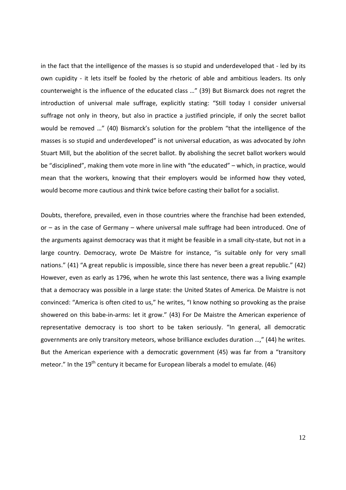in the fact that the intelligence of the masses is so stupid and underdeveloped that - led by its own cupidity - it lets itself be fooled by the rhetoric of able and ambitious leaders. Its only counterweight is the influence of the educated class …" (39) But Bismarck does not regret the introduction of universal male suffrage, explicitly stating: "Still today I consider universal suffrage not only in theory, but also in practice a justified principle, if only the secret ballot would be removed …" (40) Bismarck's solution for the problem "that the intelligence of the masses is so stupid and underdeveloped" is not universal education, as was advocated by John Stuart Mill, but the abolition of the secret ballot. By abolishing the secret ballot workers would be "disciplined", making them vote more in line with "the educated" – which, in practice, would mean that the workers, knowing that their employers would be informed how they voted, would become more cautious and think twice before casting their ballot for a socialist.

Doubts, therefore, prevailed, even in those countries where the franchise had been extended, or – as in the case of Germany – where universal male suffrage had been introduced. One of the arguments against democracy was that it might be feasible in a small city-state, but not in a large country. Democracy, wrote De Maistre for instance, "is suitable only for very small nations." (41) "A great republic is impossible, since there has never been a great republic." (42) However, even as early as 1796, when he wrote this last sentence, there was a living example that a democracy was possible in a large state: the United States of America. De Maistre is not convinced: "America is often cited to us," he writes, "I know nothing so provoking as the praise showered on this babe-in-arms: let it grow." (43) For De Maistre the American experience of representative democracy is too short to be taken seriously. "In general, all democratic governments are only transitory meteors, whose brilliance excludes duration …," (44) he writes. But the American experience with a democratic government (45) was far from a "transitory meteor." In the  $19<sup>th</sup>$  century it became for European liberals a model to emulate. (46)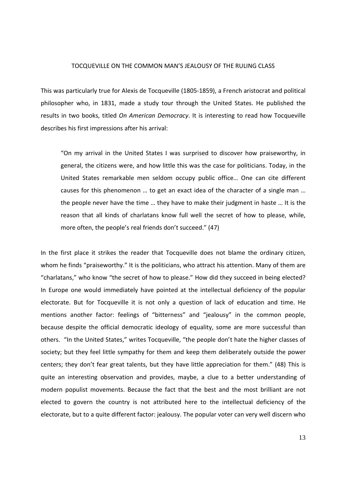#### TOCQUEVILLE ON THE COMMON MAN'S JEALOUSY OF THE RULING CLASS

This was particularly true for Alexis de Tocqueville (1805-1859), a French aristocrat and political philosopher who, in 1831, made a study tour through the United States. He published the results in two books, titled On American Democracy. It is interesting to read how Tocqueville describes his first impressions after his arrival:

"On my arrival in the United States I was surprised to discover how praiseworthy, in general, the citizens were, and how little this was the case for politicians. Today, in the United States remarkable men seldom occupy public office… One can cite different causes for this phenomenon … to get an exact idea of the character of a single man … the people never have the time … they have to make their judgment in haste … It is the reason that all kinds of charlatans know full well the secret of how to please, while, more often, the people's real friends don't succeed." (47)

In the first place it strikes the reader that Tocqueville does not blame the ordinary citizen, whom he finds "praiseworthy." It is the politicians, who attract his attention. Many of them are "charlatans," who know "the secret of how to please." How did they succeed in being elected? In Europe one would immediately have pointed at the intellectual deficiency of the popular electorate. But for Tocqueville it is not only a question of lack of education and time. He mentions another factor: feelings of "bitterness" and "jealousy" in the common people, because despite the official democratic ideology of equality, some are more successful than others. "In the United States," writes Tocqueville, "the people don't hate the higher classes of society; but they feel little sympathy for them and keep them deliberately outside the power centers; they don't fear great talents, but they have little appreciation for them." (48) This is quite an interesting observation and provides, maybe, a clue to a better understanding of modern populist movements. Because the fact that the best and the most brilliant are not elected to govern the country is not attributed here to the intellectual deficiency of the electorate, but to a quite different factor: jealousy. The popular voter can very well discern who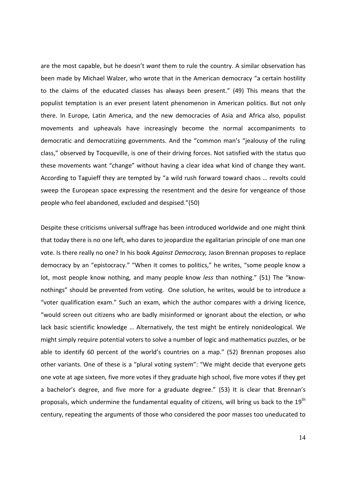are the most capable, but he doesn't want them to rule the country. A similar observation has been made by Michael Walzer, who wrote that in the American democracy "a certain hostility to the claims of the educated classes has always been present." (49) This means that the populist temptation is an ever present latent phenomenon in American politics. But not only there. In Europe, Latin America, and the new democracies of Asia and Africa also, populist movements and upheavals have increasingly become the normal accompaniments to democratic and democratizing governments. And the "common man's "jealousy of the ruling class," observed by Tocqueville, is one of their driving forces. Not satisfied with the status quo these movements want "change" without having a clear idea what kind of change they want. According to Taguieff they are tempted by "a wild rush forward toward chaos … revolts could sweep the European space expressing the resentment and the desire for vengeance of those people who feel abandoned, excluded and despised."(50)

Despite these criticisms universal suffrage has been introduced worldwide and one might think that today there is no one left, who dares to jeopardize the egalitarian principle of one man one vote. Is there really no one? In his book Against Democracy, Jason Brennan proposes to replace democracy by an "epistocracy." "When it comes to politics," he writes, "some people know a lot, most people know nothing, and many people know less than nothing." (51) The "knownothings" should be prevented from voting. One solution, he writes, would be to introduce a "voter qualification exam." Such an exam, which the author compares with a driving licence, "would screen out citizens who are badly misinformed or ignorant about the election, or who lack basic scientific knowledge … Alternatively, the test might be entirely nonideological. We might simply require potential voters to solve a number of logic and mathematics puzzles, or be able to identify 60 percent of the world's countries on a map." (52) Brennan proposes also other variants. One of these is a "plural voting system": "We might decide that everyone gets one vote at age sixteen, five more votes if they graduate high school, five more votes if they get a bachelor's degree, and five more for a graduate degree." (53) It is clear that Brennan's proposals, which undermine the fundamental equality of citizens, will bring us back to the 19<sup>th</sup> century, repeating the arguments of those who considered the poor masses too uneducated to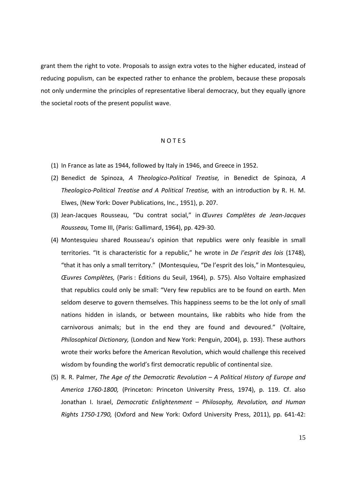grant them the right to vote. Proposals to assign extra votes to the higher educated, instead of reducing populism, can be expected rather to enhance the problem, because these proposals not only undermine the principles of representative liberal democracy, but they equally ignore the societal roots of the present populist wave.

#### N O T E S

- (1) In France as late as 1944, followed by Italy in 1946, and Greece in 1952.
- (2) Benedict de Spinoza, A Theologico-Political Treatise, in Benedict de Spinoza, A Theologico-Political Treatise and A Political Treatise, with an introduction by R. H. M. Elwes, (New York: Dover Publications, Inc., 1951), p. 207.
- (3) Jean-Jacques Rousseau, "Du contrat social," in Œuvres Complètes de Jean-Jacques Rousseau, Tome III, (Paris: Gallimard, 1964), pp. 429-30.
- (4) Montesquieu shared Rousseau's opinion that republics were only feasible in small territories. "It is characteristic for a republic," he wrote in De l'esprit des lois (1748), "that it has only a small territory." (Montesquieu, "De l'esprit des lois," in Montesquieu, Œuvres Complètes, (Paris : Éditions du Seuil, 1964), p. 575). Also Voltaire emphasized that republics could only be small: "Very few republics are to be found on earth. Men seldom deserve to govern themselves. This happiness seems to be the lot only of small nations hidden in islands, or between mountains, like rabbits who hide from the carnivorous animals; but in the end they are found and devoured." (Voltaire, Philosophical Dictionary, (London and New York: Penguin, 2004), p. 193). These authors wrote their works before the American Revolution, which would challenge this received wisdom by founding the world's first democratic republic of continental size.
- (5) R. R. Palmer, The Age of the Democratic Revolution A Political History of Europe and America 1760-1800, (Princeton: Princeton University Press, 1974), p. 119. Cf. also Jonathan I. Israel, Democratic Enlightenment – Philosophy, Revolution, and Human Rights 1750-1790, (Oxford and New York: Oxford University Press, 2011), pp. 641-42: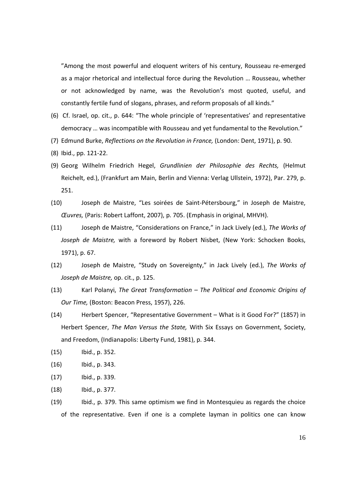"Among the most powerful and eloquent writers of his century, Rousseau re-emerged as a major rhetorical and intellectual force during the Revolution … Rousseau, whether or not acknowledged by name, was the Revolution's most quoted, useful, and constantly fertile fund of slogans, phrases, and reform proposals of all kinds."

- (6) Cf. Israel, op. cit., p. 644: "The whole principle of 'representatives' and representative democracy … was incompatible with Rousseau and yet fundamental to the Revolution."
- (7) Edmund Burke, Reflections on the Revolution in France, (London: Dent, 1971), p. 90.
- (8) Ibid., pp. 121-22.
- (9) Georg Wilhelm Friedrich Hegel, Grundlinien der Philosophie des Rechts, (Helmut Reichelt, ed.), (Frankfurt am Main, Berlin and Vienna: Verlag Ullstein, 1972), Par. 279, p. 251.
- (10) Joseph de Maistre, "Les soirées de Saint-Pétersbourg," in Joseph de Maistre, Œuvres, (Paris: Robert Laffont, 2007), p. 705. (Emphasis in original, MHVH).
- (11) Joseph de Maistre, "Considerations on France," in Jack Lively (ed.), The Works of Joseph de Maistre, with a foreword by Robert Nisbet, (New York: Schocken Books, 1971), p. 67.
- (12) Joseph de Maistre, "Study on Sovereignty," in Jack Lively (ed.), The Works of Joseph de Maistre, op. cit., p. 125.
- (13) Karl Polanyi, The Great Transformation The Political and Economic Origins of Our Time, (Boston: Beacon Press, 1957), 226.
- (14) Herbert Spencer, "Representative Government What is it Good For?" (1857) in Herbert Spencer, The Man Versus the State, With Six Essays on Government, Society, and Freedom, (Indianapolis: Liberty Fund, 1981), p. 344.
- (15) Ibid., p. 352.
- (16) Ibid., p. 343.
- (17) Ibid., p. 339.
- (18) Ibid., p. 377.
- (19) Ibid., p. 379. This same optimism we find in Montesquieu as regards the choice of the representative. Even if one is a complete layman in politics one can know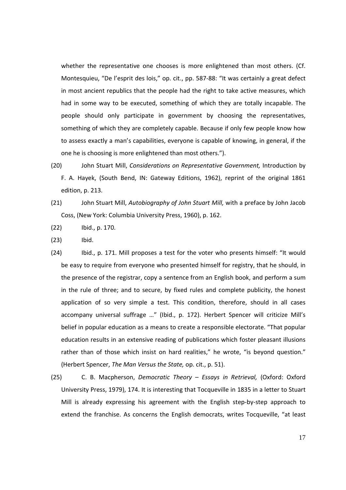whether the representative one chooses is more enlightened than most others. (Cf. Montesquieu, "De l'esprit des lois," op. cit., pp. 587-88: "It was certainly a great defect in most ancient republics that the people had the right to take active measures, which had in some way to be executed, something of which they are totally incapable. The people should only participate in government by choosing the representatives, something of which they are completely capable. Because if only few people know how to assess exactly a man's capabilities, everyone is capable of knowing, in general, if the one he is choosing is more enlightened than most others.").

- (20) John Stuart Mill, Considerations on Representative Government, Introduction by F. A. Hayek, (South Bend, IN: Gateway Editions, 1962), reprint of the original 1861 edition, p. 213.
- (21) John Stuart Mill, Autobiography of John Stuart Mill, with a preface by John Jacob Coss, (New York: Columbia University Press, 1960), p. 162.
- (22) Ibid., p. 170.
- (23) Ibid.
- (24) Ibid., p. 171. Mill proposes a test for the voter who presents himself: "It would be easy to require from everyone who presented himself for registry, that he should, in the presence of the registrar, copy a sentence from an English book, and perform a sum in the rule of three; and to secure, by fixed rules and complete publicity, the honest application of so very simple a test. This condition, therefore, should in all cases accompany universal suffrage …" (Ibid., p. 172). Herbert Spencer will criticize Mill's belief in popular education as a means to create a responsible electorate. "That popular education results in an extensive reading of publications which foster pleasant illusions rather than of those which insist on hard realities," he wrote, "is beyond question." (Herbert Spencer, The Man Versus the State, op. cit., p. 51).
- (25) C. B. Macpherson, Democratic Theory Essays in Retrieval, (Oxford: Oxford University Press, 1979), 174. It is interesting that Tocqueville in 1835 in a letter to Stuart Mill is already expressing his agreement with the English step-by-step approach to extend the franchise. As concerns the English democrats, writes Tocqueville, "at least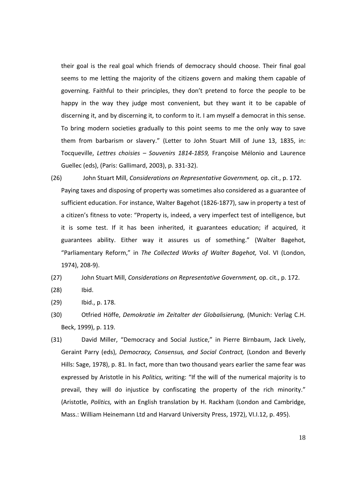their goal is the real goal which friends of democracy should choose. Their final goal seems to me letting the majority of the citizens govern and making them capable of governing. Faithful to their principles, they don't pretend to force the people to be happy in the way they judge most convenient, but they want it to be capable of discerning it, and by discerning it, to conform to it. I am myself a democrat in this sense. To bring modern societies gradually to this point seems to me the only way to save them from barbarism or slavery." (Letter to John Stuart Mill of June 13, 1835, in: Tocqueville, Lettres choisies – Souvenirs 1814-1859, Françoise Mélonio and Laurence Guellec (eds), (Paris: Gallimard, 2003), p. 331-32).

(26) John Stuart Mill, Considerations on Representative Government, op. cit., p. 172. Paying taxes and disposing of property was sometimes also considered as a guarantee of sufficient education. For instance, Walter Bagehot (1826-1877), saw in property a test of a citizen's fitness to vote: "Property is, indeed, a very imperfect test of intelligence, but it is some test. If it has been inherited, it guarantees education; if acquired, it guarantees ability. Either way it assures us of something." (Walter Bagehot, "Parliamentary Reform," in The Collected Works of Walter Bagehot, Vol. VI (London, 1974), 208-9).

#### (27) John Stuart Mill, Considerations on Representative Government, op. cit., p. 172.

- (28) Ibid.
- (29) Ibid., p. 178.
- (30) Otfried Höffe, Demokratie im Zeitalter der Globalisierung, (Munich: Verlag C.H. Beck, 1999), p. 119.
- (31) David Miller, "Democracy and Social Justice," in Pierre Birnbaum, Jack Lively, Geraint Parry (eds), Democracy, Consensus, and Social Contract, (London and Beverly Hills: Sage, 1978), p. 81. In fact, more than two thousand years earlier the same fear was expressed by Aristotle in his *Politics*, writing: "If the will of the numerical majority is to prevail, they will do injustice by confiscating the property of the rich minority." (Aristotle, Politics, with an English translation by H. Rackham (London and Cambridge, Mass.: William Heinemann Ltd and Harvard University Press, 1972), VI.I.12, p. 495).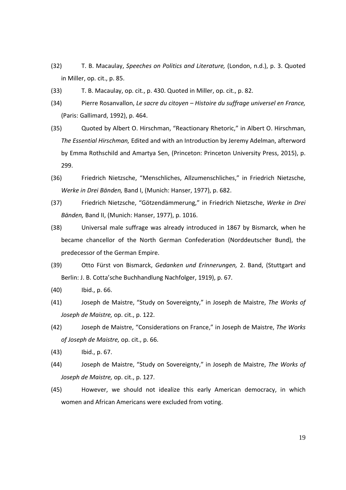- (32) T. B. Macaulay, Speeches on Politics and Literature, (London, n.d.), p. 3. Quoted in Miller, op. cit., p. 85.
- (33) T. B. Macaulay, op. cit., p. 430. Quoted in Miller, op. cit., p. 82.
- (34) Pierre Rosanvallon, Le sacre du citoyen Histoire du suffrage universel en France, (Paris: Gallimard, 1992), p. 464.
- (35) Quoted by Albert O. Hirschman, "Reactionary Rhetoric," in Albert O. Hirschman, The Essential Hirschman, Edited and with an Introduction by Jeremy Adelman, afterword by Emma Rothschild and Amartya Sen, (Princeton: Princeton University Press, 2015), p. 299.
- (36) Friedrich Nietzsche, "Menschliches, Allzumenschliches," in Friedrich Nietzsche, Werke in Drei Bänden, Band I, (Munich: Hanser, 1977), p. 682.
- (37) Friedrich Nietzsche, "Götzendämmerung," in Friedrich Nietzsche, Werke in Drei Bänden, Band II, (Munich: Hanser, 1977), p. 1016.
- (38) Universal male suffrage was already introduced in 1867 by Bismarck, when he became chancellor of the North German Confederation (Norddeutscher Bund), the predecessor of the German Empire.
- (39) Otto Fürst von Bismarck, Gedanken und Erinnerungen, 2. Band, (Stuttgart and Berlin: J. B. Cotta'sche Buchhandlung Nachfolger, 1919), p. 67.
- (40) Ibid., p. 66.
- (41) Joseph de Maistre, "Study on Sovereignty," in Joseph de Maistre, The Works of Joseph de Maistre, op. cit., p. 122.
- (42) Joseph de Maistre, "Considerations on France," in Joseph de Maistre, The Works of Joseph de Maistre, op. cit., p. 66.
- (43) Ibid., p. 67.
- (44) Joseph de Maistre, "Study on Sovereignty," in Joseph de Maistre, The Works of Joseph de Maistre, op. cit., p. 127.
- (45) However, we should not idealize this early American democracy, in which women and African Americans were excluded from voting.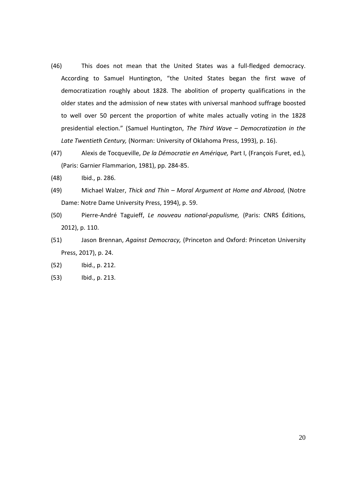- (46) This does not mean that the United States was a full-fledged democracy. According to Samuel Huntington, "the United States began the first wave of democratization roughly about 1828. The abolition of property qualifications in the older states and the admission of new states with universal manhood suffrage boosted to well over 50 percent the proportion of white males actually voting in the 1828 presidential election." (Samuel Huntington, The Third Wave – Democratization in the Late Twentieth Century, (Norman: University of Oklahoma Press, 1993), p. 16).
- (47) Alexis de Tocqueville, De la Démocratie en Amérique, Part I, (François Furet, ed.), (Paris: Garnier Flammarion, 1981), pp. 284-85.
- (48) Ibid., p. 286.
- (49) Michael Walzer, Thick and Thin Moral Argument at Home and Abroad, (Notre Dame: Notre Dame University Press, 1994), p. 59.
- (50) Pierre-André Taguieff, Le nouveau national-populisme, (Paris: CNRS Éditions, 2012), p. 110.
- (51) Jason Brennan, Against Democracy, (Princeton and Oxford: Princeton University Press, 2017), p. 24.
- (52) Ibid., p. 212.
- (53) Ibid., p. 213.